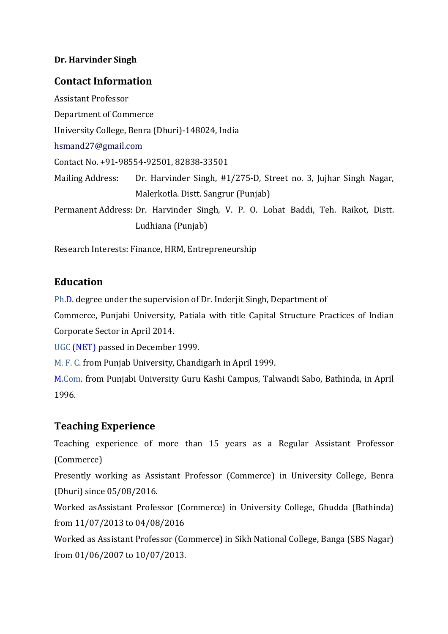#### **Dr. Harvinder Singh**

#### **Contact Information**

Assistant Professor Department of Commerce University College, Benra (Dhuri)-148024, India hsmand27@gmail.com Contact No. +91-98554-92501, 82838-33501 Mailing Address: Dr. Harvinder Singh, #1/275-D, Street no. 3, Jujhar Singh Nagar, Malerkotla. Distt. Sangrur (Punjab) Permanent Address: Dr. Harvinder Singh, V. P. O. Lohat Baddi, Teh. Raikot, Distt. Ludhiana (Punjab)

Research Interests: Finance, HRM, Entrepreneurship

#### **Education**

Ph.D. degree under the supervision of Dr. Inderjit Singh, Department of

Commerce, Punjabi University, Patiala with title Capital Structure Practices of Indian Corporate Sector in April 2014.

UGC (NET) passed in December 1999.

M. F. C. from Punjab University, Chandigarh in April 1999.

M.Com. from Punjabi University Guru Kashi Campus, Talwandi Sabo, Bathinda, in April 1996.

### **Teaching Experience**

Teaching experience of more than 15 years as a Regular Assistant Professor (Commerce)

Presently working as Assistant Professor (Commerce) in University College, Benra (Dhuri) since 05/08/2016.

Worked asAssistant Professor (Commerce) in University College, Ghudda (Bathinda) from 11/07/2013 to 04/08/2016

Worked as Assistant Professor (Commerce) in Sikh National College, Banga (SBS Nagar) from 01/06/2007 to 10/07/2013.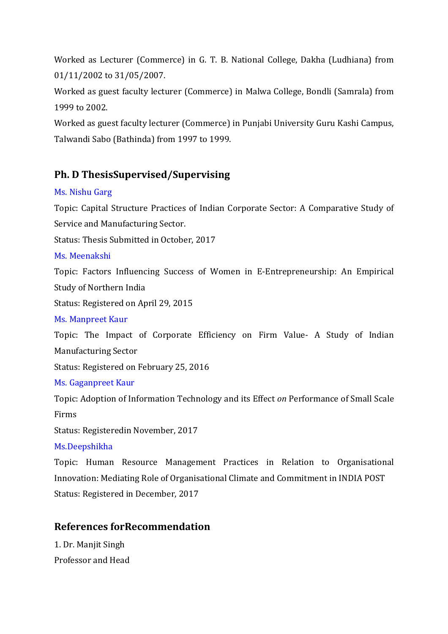Worked as Lecturer (Commerce) in G. T. B. National College, Dakha (Ludhiana) from 01/11/2002 to 31/05/2007.

Worked as guest faculty lecturer (Commerce) in Malwa College, Bondli (Samrala) from 1999 to 2002.

Worked as guest faculty lecturer (Commerce) in Punjabi University Guru Kashi Campus, Talwandi Sabo (Bathinda) from 1997 to 1999.

# **Ph. D ThesisSupervised/Supervising**

### Ms. Nishu Garg

Topic: Capital Structure Practices of Indian Corporate Sector: A Comparative Study of Service and Manufacturing Sector.

Status: Thesis Submitted in October, 2017

#### Ms. Meenakshi

Topic: Factors Influencing Success of Women in E-Entrepreneurship: An Empirical Study of Northern India

Status: Registered on April 29, 2015

#### Ms. Manpreet Kaur

Topic: The Impact of Corporate Efficiency on Firm Value- A Study of Indian Manufacturing Sector

Status: Registered on February 25, 2016

### Ms. Gaganpreet Kaur

Topic: Adoption of Information Technology and its Effect *on* Performance of Small Scale Firms

Status: Registeredin November, 2017

### Ms.Deepshikha

Topic: Human Resource Management Practices in Relation to Organisational Innovation: Mediating Role of Organisational Climate and Commitment in INDIA POST Status: Registered in December, 2017

# **References forRecommendation**

1. Dr. Manjit Singh Professor and Head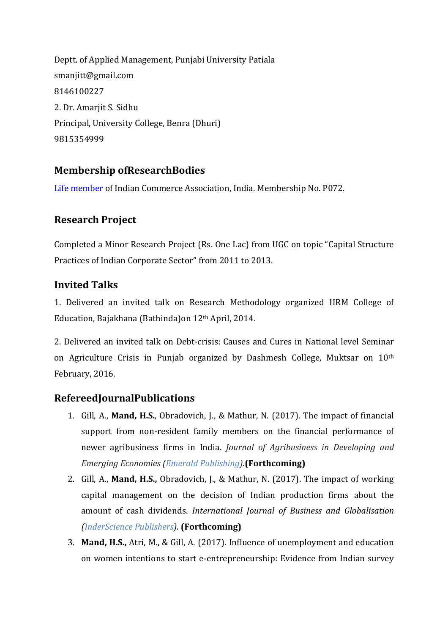Deptt. of Applied Management, Punjabi University Patiala smanjitt@gmail.com 8146100227 2. Dr. Amarjit S. Sidhu Principal, University College, Benra (Dhuri) 9815354999

# **Membership ofResearchBodies**

Life member of Indian Commerce Association, India. Membership No. P072.

### **Research Project**

Completed a Minor Research Project (Rs. One Lac) from UGC on topic "Capital Structure Practices of Indian Corporate Sector" from 2011 to 2013.

### **Invited Talks**

1. Delivered an invited talk on Research Methodology organized HRM College of Education, Bajakhana (Bathinda)on 12th April, 2014.

2. Delivered an invited talk on Debt-crisis: Causes and Cures in National level Seminar on Agriculture Crisis in Punjab organized by Dashmesh College, Muktsar on 10th February, 2016.

# **RefereedJournalPublications**

- 1. Gill, A., **Mand, H.S.**, Obradovich, J., & Mathur, N. (2017). The impact of financial support from non-resident family members on the financial performance of newer agribusiness firms in India. *Journal of Agribusiness in Developing and Emerging Economies (Emerald Publishing).***(Forthcoming)**
- 2. Gill, A., **Mand, H.S.,** Obradovich, J., & Mathur, N. (2017). The impact of working capital management on the decision of Indian production firms about the amount of cash dividends. *International Journal of Business and Globalisation (InderScience Publishers).* **(Forthcoming)**
- 3. **Mand, H.S.,** Atri, M., & Gill, A. (2017). Influence of unemployment and education on women intentions to start e-entrepreneurship: Evidence from Indian survey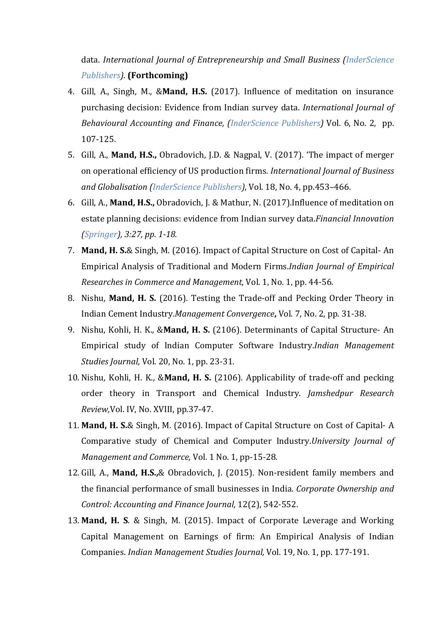data. *International Journal of Entrepreneurship and Small Business (InderScience Publishers)*. **(Forthcoming)**

- 4. Gill, A., Singh, M., &**Mand, H.S.** (2017). Influence of meditation on insurance purchasing decision: Evidence from Indian survey data. *International Journal of Behavioural Accounting and Finance, (InderScience Publishers)* Vol. 6, No. 2, pp. 107-125.
- 5. Gill, A., **Mand, H.S.,** Obradovich, J.D. & Nagpal, V. (2017). 'The impact of merger on operational efficiency of US production firms. *International Journal of Business and Globalisation (InderScience Publishers)*, Vol. 18, No. 4, pp.453–466.
- 6. Gill, A., **Mand, H.S.,** Obradovich, J. & Mathur, N. (2017).Influence of meditation on estate planning decisions: evidence from Indian survey data.*Financial Innovation (Springer), 3:27, pp. 1-18.*
- 7. **Mand, H. S.**& Singh, M. (2016). Impact of Capital Structure on Cost of Capital- An Empirical Analysis of Traditional and Modern Firms.*Indian Journal of Empirical Researches in Commerce and Management*, Vol. 1, No. 1, pp. 44-56.
- 8. Nishu, **Mand, H. S.** (2016). Testing the Trade-off and Pecking Order Theory in Indian Cement Industry.*Management Convergence***,** Vol. 7, No. 2, pp. 31-38.
- 9. Nishu, Kohli, H. K., &**Mand, H. S.** (2106). Determinants of Capital Structure- An Empirical study of Indian Computer Software Industry.*Indian Management Studies Journal,* Vol. 20, No. 1, pp. 23-31.
- 10. Nishu, Kohli, H. K., &**Mand, H. S.** (2106). Applicability of trade-off and pecking order theory in Transport and Chemical Industry. *Jamshedpur Research Review,*Vol. IV, No. XVIII, pp.37-47.
- 11. **Mand, H. S.**& Singh, M. (2016). Impact of Capital Structure on Cost of Capital- A Comparative study of Chemical and Computer Industry.*University Journal of Management and Commerce,* Vol. 1 No. 1, pp-15-28.
- 12. Gill, A., **Mand, H.S.,**& Obradovich, J. (2015). Non-resident family members and the financial performance of small businesses in India. *Corporate Ownership and Control: Accounting and Finance Journal,* 12(2), 542-552.
- 13. **Mand, H. S**. & Singh, M. (2015). Impact of Corporate Leverage and Working Capital Management on Earnings of firm: An Empirical Analysis of Indian Companies. *Indian Management Studies Journal,* Vol. 19, No. 1, pp. 177-191.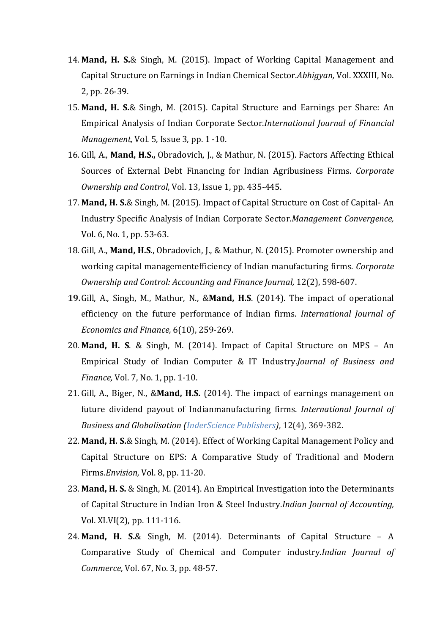- 14. **Mand, H. S.**& Singh, M. (2015). Impact of Working Capital Management and Capital Structure on Earnings in Indian Chemical Sector.*Abhigyan,* Vol. XXXIII, No. 2, pp. 26-39.
- 15. **Mand, H. S.**& Singh, M. (2015). Capital Structure and Earnings per Share: An Empirical Analysis of Indian Corporate Sector.*International Journal of Financial Management,* Vol. 5, Issue 3, pp. 1 -10.
- 16. Gill, A., **Mand, H.S.,** Obradovich, J., & Mathur, N. (2015). Factors Affecting Ethical Sources of External Debt Financing for Indian Agribusiness Firms. *Corporate Ownership and Control*, Vol. 13, Issue 1, pp. 435-445.
- 17. **Mand, H. S.**& Singh, M. (2015). Impact of Capital Structure on Cost of Capital- An Industry Specific Analysis of Indian Corporate Sector.*Management Convergence,* Vol. 6, No. 1, pp. 53-63.
- 18. Gill, A., **Mand, H.S**., Obradovich, J., & Mathur, N. (2015). Promoter ownership and working capital managementefficiency of Indian manufacturing firms. *Corporate Ownership and Control: Accounting and Finance Journal,* 12(2), 598-607.
- **19.**Gill, A., Singh, M., Mathur, N., &**Mand, H.S**. (2014). The impact of operational efficiency on the future performance of Indian firms. *International Journal of Economics and Finance,* 6(10), 259-269.
- 20. **Mand, H. S**. & Singh, M. (2014). Impact of Capital Structure on MPS An Empirical Study of Indian Computer & IT Industry.*Journal of Business and Finance,* Vol. 7, No. 1, pp. 1-10.
- 21. Gill, A., Biger, N., &**Mand, H.S.** (2014). The impact of earnings management on future dividend payout of Indianmanufacturing firms. *International Journal of Business and Globalisation (InderScience Publishers)*, 12(4), 369-382.
- 22. **Mand, H. S.**& Singh, M. (2014). Effect of Working Capital Management Policy and Capital Structure on EPS: A Comparative Study of Traditional and Modern Firms.*Envision,* Vol. 8, pp. 11-20.
- 23. **Mand, H. S.** & Singh, M. (2014). An Empirical Investigation into the Determinants of Capital Structure in Indian Iron & Steel Industry.*Indian Journal of Accounting,* Vol. XLVI(2), pp. 111-116.
- 24. **Mand, H. S.**& Singh, M. (2014). Determinants of Capital Structure A Comparative Study of Chemical and Computer industry.*Indian Journal of Commerce*, Vol. 67, No. 3, pp. 48-57.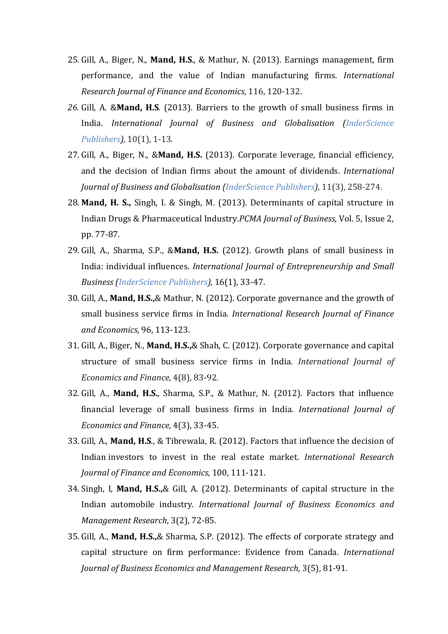- 25. Gill, A., Biger, N., **Mand, H.S**., & Mathur, N. (2013). Earnings management, firm performance, and the value of Indian manufacturing firms. *International Research Journal of Finance and Economics*, 116, 120-132.
- *26.* Gill, A. &**Mand, H.S**. (2013). Barriers to the growth of small business firms in India. *International Journal of Business and Globalisation (InderScience Publishers)*, 10(1), 1-13*.*
- 27. Gill, A., Biger, N., &**Mand, H.S.** (2013). Corporate leverage, financial efficiency, and the decision of Indian firms about the amount of dividends. *International Journal of Business and Globalisation (InderScience Publishers)*, 11(3), 258-274.
- 28. **Mand, H. S.,** Singh, I. & Singh, M. (2013). Determinants of capital structure in Indian Drugs & Pharmaceutical Industry.*PCMA Journal of Business,* Vol. 5, Issue 2, pp. 77-87.
- 29. Gill, A., Sharma, S.P., &**Mand, H.S.** (2012). Growth plans of small business in India: individual influences. *International Journal of Entrepreneurship and Small Business (InderScience Publishers),* 16(1), 33-47.
- 30. Gill, A., **Mand, H.S.,**& Mathur, N. (2012). Corporate governance and the growth of small business service firms in India. *International Research Journal of Finance and Economics,* 96, 113-123.
- 31. Gill, A., Biger, N., **Mand, H.S.,**& Shah, C. (2012). Corporate governance and capital structure of small business service firms in India. *International Journal of Economics and Finance*, 4(8), 83-92*.*
- 32. Gill, A., **Mand, H.S.**, Sharma, S.P., & Mathur, N. (2012). Factors that influence financial leverage of small business firms in India. *International Journal of Economics and Finance*, 4(3), 33-45.
- 33. Gill, A., **Mand, H.S**., & Tibrewala, R. (2012). Factors that influence the decision of Indian investors to invest in the real estate market. *International Research Journal of Finance and Economics*, 100, 111-121.
- 34. Singh, I, **Mand, H.S.,**& Gill, A. (2012). Determinants of capital structure in the Indian automobile industry. *International Journal of Business Economics and Management Research*, 3(2), 72-85.
- 35. Gill, A., **Mand, H.S.,**& Sharma, S.P. (2012). The effects of corporate strategy and capital structure on firm performance: Evidence from Canada. *International Journal of Business Economics and Management Research,* 3(5), 81-91.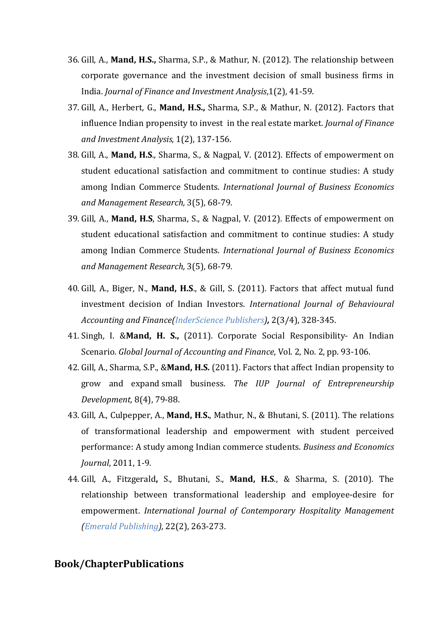- 36. Gill, A., **Mand, H.S.,** Sharma, S.P., & Mathur, N. (2012). The relationship between corporate governance and the investment decision of small business firms in India. *Journal of Finance and Investment Analysis*,1(2), 41-59.
- 37. Gill, A., Herbert, G., **Mand, H.S.,** Sharma, S.P., & Mathur, N. (2012). Factors that influence Indian propensity to invest in the real estate market. *Journal of Finance and Investment Analysis,* 1(2), 137-156.
- 38. Gill, A., **Mand, H.S**., Sharma, S., & Nagpal, V. (2012). Effects of empowerment on student educational satisfaction and commitment to continue studies: A study among Indian Commerce Students. *International Journal of Business Economics and Management Research,* 3(5), 68-79*.*
- 39. Gill, A., **Mand, H.S**, Sharma, S., & Nagpal, V. (2012). Effects of empowerment on student educational satisfaction and commitment to continue studies: A study among Indian Commerce Students. *International Journal of Business Economics and Management Research,* 3(5), 68-79*.*
- 40. Gill, A., Biger, N., **Mand, H.S**., & Gill, S. (2011). Factors that affect mutual fund investment decision of Indian Investors. *International Journal of Behavioural Accounting and Finance(InderScience Publishers),* 2(3/4), 328-345.
- 41. Singh, I. &**Mand, H. S.,** (2011). Corporate Social Responsibility- An Indian Scenario. *Global Journal of Accounting and Finance*, Vol. 2, No. 2, pp. 93-106.
- 42. Gill, A., Sharma, S.P., &**Mand, H.S.** (2011). Factors that affect Indian propensity to grow and expand small business. *The IUP Journal of Entrepreneurship Development,* 8(4), 79-88.
- 43. Gill, A., Culpepper, A., **Mand, H**.**S.**, Mathur, N., & Bhutani, S. (2011). The relations of transformational leadership and empowerment with student perceived performance: A study among Indian commerce students. *Business and Economics Journal*, 2011, 1-9*.*
- 44. Gill, A., Fitzgerald**,** S., Bhutani, S., **Mand, H.S**., & Sharma, S. (2010). The relationship between transformational leadership and employee-desire for empowerment. *International Journal of Contemporary Hospitality Management (Emerald Publishing),* 22(2), 263-273.

#### **Book/ChapterPublications**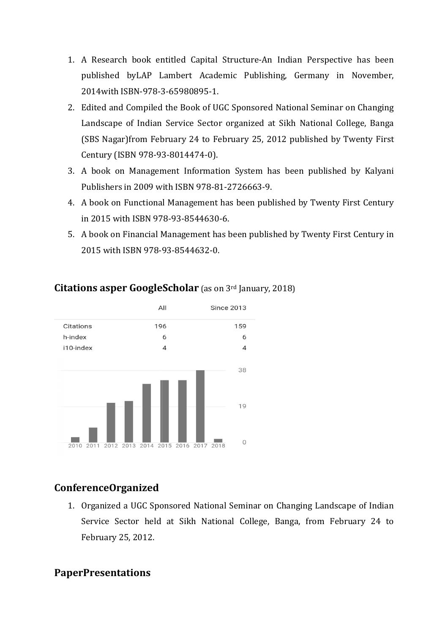- 1. A Research book entitled Capital Structure-An Indian Perspective An has been published byLAP Lamber Lambert Academic Publishing, Germany in November t November, 2014with ISBN-978-3 3-65980895-1.
- 2. Edited and Compiled the Book of UGC Sponsored National Seminar on Changing Landscape of Indian Service Sector organized at Sikh National College, Banga (SBS Nagar) from February 24 to February 25, 2012 published by Twenty First Century (ISBN 978-93 93-8014474-0).
- 3. A book on Management Information System has been published by Kalyani Publishers in 2009 with ISBN 978-81-2726663-9.
- 4. A book on Functional Management has been published by Twenty First Century in 2015 with ISBN 978 978-93-8544630-6.
- 5. A book on Financial Management has been published by Twenty First Century in 2015 with ISBN 978-93 93-8544632-0.



### **Citations asper GoogleScholar** (as on 3rd January, 2018)

# **ConferenceOrganized**

1. Organized a UGC Sponsored National Seminar on Changing Landscape of Indian Service Sector held at Sikh National College, Banga, from February 24 to February 25, 2012.

# **PaperPresentations**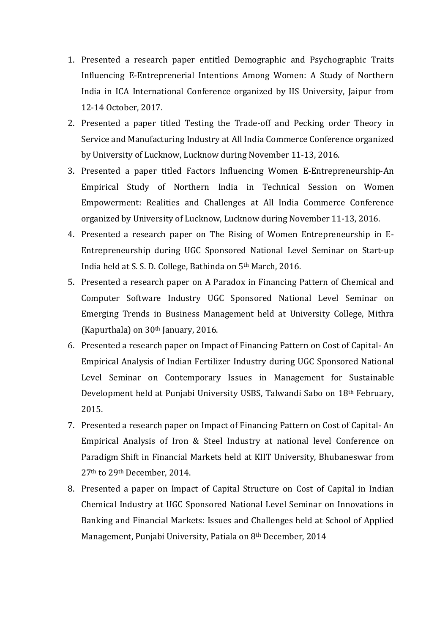- 1. Presented a research paper entitled Demographic and Psychographic Traits Influencing E-Entreprenerial Intentions Among Women: A Study of Northern India in ICA International Conference organized by IIS University, Jaipur from 12-14 October, 2017.
- 2. Presented a paper titled Testing the Trade-off and Pecking order Theory in Service and Manufacturing Industry at All India Commerce Conference organized by University of Lucknow, Lucknow during November 11-13, 2016.
- 3. Presented a paper titled Factors Influencing Women E-Entrepreneurship-An Empirical Study of Northern India in Technical Session on Women Empowerment: Realities and Challenges at All India Commerce Conference organized by University of Lucknow, Lucknow during November 11-13, 2016.
- 4. Presented a research paper on The Rising of Women Entrepreneurship in E-Entrepreneurship during UGC Sponsored National Level Seminar on Start-up India held at S. S. D. College, Bathinda on 5th March, 2016.
- 5. Presented a research paper on A Paradox in Financing Pattern of Chemical and Computer Software Industry UGC Sponsored National Level Seminar on Emerging Trends in Business Management held at University College, Mithra (Kapurthala) on 30th January, 2016.
- 6. Presented a research paper on Impact of Financing Pattern on Cost of Capital- An Empirical Analysis of Indian Fertilizer Industry during UGC Sponsored National Level Seminar on Contemporary Issues in Management for Sustainable Development held at Punjabi University USBS, Talwandi Sabo on 18th February, 2015.
- 7. Presented a research paper on Impact of Financing Pattern on Cost of Capital- An Empirical Analysis of Iron & Steel Industry at national level Conference on Paradigm Shift in Financial Markets held at KIIT University, Bhubaneswar from 27th to 29th December, 2014.
- 8. Presented a paper on Impact of Capital Structure on Cost of Capital in Indian Chemical Industry at UGC Sponsored National Level Seminar on Innovations in Banking and Financial Markets: Issues and Challenges held at School of Applied Management, Punjabi University, Patiala on 8th December, 2014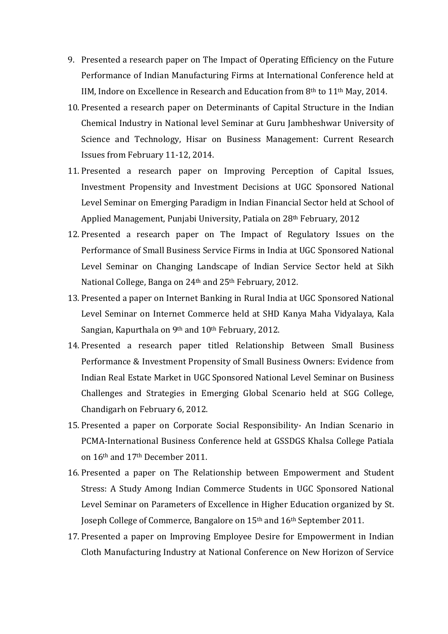- 9. Presented a research paper on The Impact of Operating Efficiency on the Future Performance of Indian Manufacturing Firms at International Conference held at IIM, Indore on Excellence in Research and Education from 8th to 11th May, 2014.
- 10. Presented a research paper on Determinants of Capital Structure in the Indian Chemical Industry in National level Seminar at Guru Jambheshwar University of Science and Technology, Hisar on Business Management: Current Research Issues from February 11-12, 2014.
- 11. Presented a research paper on Improving Perception of Capital Issues, Investment Propensity and Investment Decisions at UGC Sponsored National Level Seminar on Emerging Paradigm in Indian Financial Sector held at School of Applied Management, Punjabi University, Patiala on 28th February, 2012
- 12. Presented a research paper on The Impact of Regulatory Issues on the Performance of Small Business Service Firms in India at UGC Sponsored National Level Seminar on Changing Landscape of Indian Service Sector held at Sikh National College, Banga on 24<sup>th</sup> and 25<sup>th</sup> February, 2012.
- 13. Presented a paper on Internet Banking in Rural India at UGC Sponsored National Level Seminar on Internet Commerce held at SHD Kanya Maha Vidyalaya, Kala Sangian, Kapurthala on 9th and 10th February, 2012.
- 14. Presented a research paper titled Relationship Between Small Business Performance & Investment Propensity of Small Business Owners: Evidence from Indian Real Estate Market in UGC Sponsored National Level Seminar on Business Challenges and Strategies in Emerging Global Scenario held at SGG College, Chandigarh on February 6, 2012.
- 15. Presented a paper on Corporate Social Responsibility- An Indian Scenario in PCMA-International Business Conference held at GSSDGS Khalsa College Patiala on 16th and 17th December 2011.
- 16. Presented a paper on The Relationship between Empowerment and Student Stress: A Study Among Indian Commerce Students in UGC Sponsored National Level Seminar on Parameters of Excellence in Higher Education organized by St. Joseph College of Commerce, Bangalore on 15th and 16th September 2011.
- 17. Presented a paper on Improving Employee Desire for Empowerment in Indian Cloth Manufacturing Industry at National Conference on New Horizon of Service